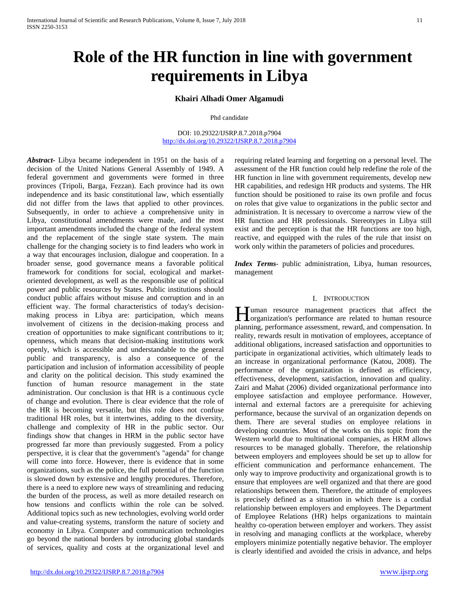# **Role of the HR function in line with government requirements in Libya**

# **Khairi Alhadi Omer Algamudi**

Phd candidate

DOI: 10.29322/IJSRP.8.7.2018.p7904 <http://dx.doi.org/10.29322/IJSRP.8.7.2018.p7904>

*Abstract***-** Libya became independent in 1951 on the basis of a decision of the United Nations General Assembly of 1949. A federal government and governments were formed in three provinces (Tripoli, Barga, Fezzan). Each province had its own independence and its basic constitutional law, which essentially did not differ from the laws that applied to other provinces. Subsequently, in order to achieve a comprehensive unity in Libya, constitutional amendments were made, and the most important amendments included the change of the federal system and the replacement of the single state system. The main challenge for the changing society is to find leaders who work in a way that encourages inclusion, dialogue and cooperation. In a broader sense, good governance means a favorable political framework for conditions for social, ecological and marketoriented development, as well as the responsible use of political power and public resources by States. Public institutions should conduct public affairs without misuse and corruption and in an efficient way. The formal characteristics of today's decisionmaking process in Libya are: participation, which means involvement of citizens in the decision-making process and creation of opportunities to make significant contributions to it; openness, which means that decision-making institutions work openly, which is accessible and understandable to the general public and transparency, is also a consequence of the participation and inclusion of information accessibility of people and clarity on the political decision. This study examined the function of human resource management in the state administration. Our conclusion is that HR is a continuous cycle of change and evolution. There is clear evidence that the role of the HR is becoming versatile, but this role does not confuse traditional HR roles, but it intertwines, adding to the diversity, challenge and complexity of HR in the public sector. Our findings show that changes in HRM in the public sector have progressed far more than previously suggested. From a policy perspective, it is clear that the government's "agenda" for change will come into force. However, there is evidence that in some organizations, such as the police, the full potential of the function is slowed down by extensive and lengthy procedures. Therefore, there is a need to explore new ways of streamlining and reducing the burden of the process, as well as more detailed research on how tensions and conflicts within the role can be solved. Additional topics such as new technologies, evolving world order and value-creating systems, transform the nature of society and economy in Libya. Computer and communication technologies go beyond the national borders by introducing global standards of services, quality and costs at the organizational level and requiring related learning and forgetting on a personal level. The assessment of the HR function could help redefine the role of the HR function in line with government requirements, develop new HR capabilities, and redesign HR products and systems. The HR function should be positioned to raise its own profile and focus on roles that give value to organizations in the public sector and administration. It is necessary to overcome a narrow view of the HR function and HR professionals. Stereotypes in Libya still exist and the perception is that the HR functions are too high, reactive, and equipped with the rules of the rule that insist on work only within the parameters of policies and procedures.

*Index Terms*- public administration, Libya, human resources, management

#### I. INTRODUCTION

**Tuman** resource management practices that affect the Human resource management practices that affect the organization's performance are related to human resource planning, performance assessment, reward, and compensation. In reality, rewards result in motivation of employees, acceptance of additional obligations, increased satisfaction and opportunities to participate in organizational activities, which ultimately leads to an increase in organizational performance (Katou, 2008). The performance of the organization is defined as efficiency, effectiveness, development, satisfaction, innovation and quality. Zairi and Mahat (2006) divided organizational performance into employee satisfaction and employee performance. However, internal and external factors are a prerequisite for achieving performance, because the survival of an organization depends on them. There are several studies on employee relations in developing countries. Most of the works on this topic from the Western world due to multinational companies, as HRM allows resources to be managed globally. Therefore, the relationship between employers and employees should be set up to allow for efficient communication and performance enhancement. The only way to improve productivity and organizational growth is to ensure that employees are well organized and that there are good relationships between them. Therefore, the attitude of employees is precisely defined as a situation in which there is a cordial relationship between employers and employees. The Department of Employee Relations (HR) helps organizations to maintain healthy co-operation between employer and workers. They assist in resolving and managing conflicts at the workplace, whereby employers minimize potentially negative behavior. The employer is clearly identified and avoided the crisis in advance, and helps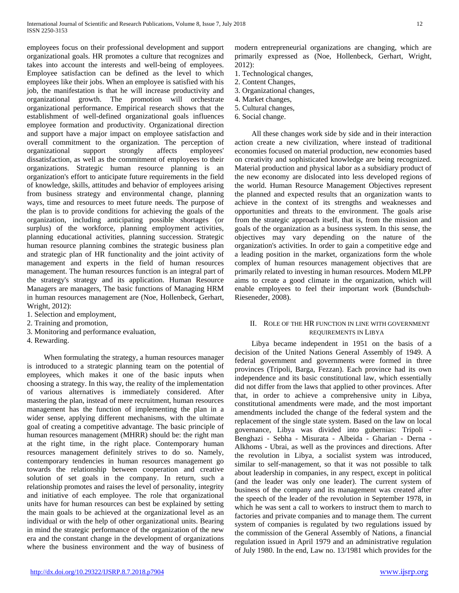employees focus on their professional development and support organizational goals. HR promotes a culture that recognizes and takes into account the interests and well-being of employees. Employee satisfaction can be defined as the level to which employees like their jobs. When an employee is satisfied with his job, the manifestation is that he will increase productivity and organizational growth. The promotion will orchestrate organizational performance. Empirical research shows that the establishment of well-defined organizational goals influences employee formation and productivity. Organizational direction and support have a major impact on employee satisfaction and overall commitment to the organization. The perception of organizational support strongly affects employees' dissatisfaction, as well as the commitment of employees to their organizations. Strategic human resource planning is an organization's effort to anticipate future requirements in the field of knowledge, skills, attitudes and behavior of employees arising from business strategy and environmental change, planning ways, time and resources to meet future needs. The purpose of the plan is to provide conditions for achieving the goals of the organization, including anticipating possible shortages (or surplus) of the workforce, planning employment activities, planning educational activities, planning succession. Strategic human resource planning combines the strategic business plan and strategic plan of HR functionality and the joint activity of management and experts in the field of human resources management. The human resources function is an integral part of the strategy's strategy and its application. Human Resource Managers are managers, The basic functions of Managing HRM in human resources management are (Noe, Hollenbeck, Gerhart, Wright, 2012):

- 1. Selection and employment,
- 2. Training and promotion,
- 3. Monitoring and performance evaluation,

4. Rewarding.

 When formulating the strategy, a human resources manager is introduced to a strategic planning team on the potential of employees, which makes it one of the basic inputs when choosing a strategy. In this way, the reality of the implementation of various alternatives is immediately considered. After mastering the plan, instead of mere recruitment, human resources management has the function of implementing the plan in a wider sense, applying different mechanisms, with the ultimate goal of creating a competitive advantage. The basic principle of human resources management (MHRR) should be: the right man at the right time, in the right place. Contemporary human resources management definitely strives to do so. Namely, contemporary tendencies in human resources management go towards the relationship between cooperation and creative solution of set goals in the company. In return, such a relationship promotes and raises the level of personality, integrity and initiative of each employee. The role that organizational units have for human resources can best be explained by setting the main goals to be achieved at the organizational level as an individual or with the help of other organizational units. Bearing in mind the strategic performance of the organization of the new era and the constant change in the development of organizations where the business environment and the way of business of modern entrepreneurial organizations are changing, which are primarily expressed as (Noe, Hollenbeck, Gerhart, Wright, 2012):

- 1. Technological changes,
- 2. Content Changes,
- 3. Organizational changes,
- 4. Market changes,
- 5. Cultural changes,
- 6. Social change.

 All these changes work side by side and in their interaction action create a new civilization, where instead of traditional economies focused on material production, new economies based on creativity and sophisticated knowledge are being recognized. Material production and physical labor as a subsidiary product of the new economy are dislocated into less developed regions of the world. Human Resource Management Objectives represent the planned and expected results that an organization wants to achieve in the context of its strengths and weaknesses and opportunities and threats to the environment. The goals arise from the strategic approach itself, that is, from the mission and goals of the organization as a business system. In this sense, the objectives may vary depending on the nature of the organization's activities. In order to gain a competitive edge and a leading position in the market, organizations form the whole complex of human resources management objectives that are primarily related to investing in human resources. Modern MLPP aims to create a good climate in the organization, which will enable employees to feel their important work (Bundschuh-Rieseneder, 2008).

## II. ROLE OF THE HR FUNCTION IN LINE WITH GOVERNMENT REQUIREMENTS IN LIBYA

 Libya became independent in 1951 on the basis of a decision of the United Nations General Assembly of 1949. A federal government and governments were formed in three provinces (Tripoli, Barga, Fezzan). Each province had its own independence and its basic constitutional law, which essentially did not differ from the laws that applied to other provinces. After that, in order to achieve a comprehensive unity in Libya, constitutional amendments were made, and the most important amendments included the change of the federal system and the replacement of the single state system. Based on the law on local governance, Libya was divided into gubernias: Tripoli - Benghazi - Sebha - Misurata - Albeida - Gharian - Derna - Alkhoms - Ubrai, as well as the provinces and directions. After the revolution in Libya, a socialist system was introduced, similar to self-management, so that it was not possible to talk about leadership in companies, in any respect, except in political (and the leader was only one leader). The current system of business of the company and its management was created after the speech of the leader of the revolution in September 1978, in which he was sent a call to workers to instruct them to march to factories and private companies and to manage them. The current system of companies is regulated by two regulations issued by the commission of the General Assembly of Nations, a financial regulation issued in April 1979 and an administrative regulation of July 1980. In the end, Law no. 13/1981 which provides for the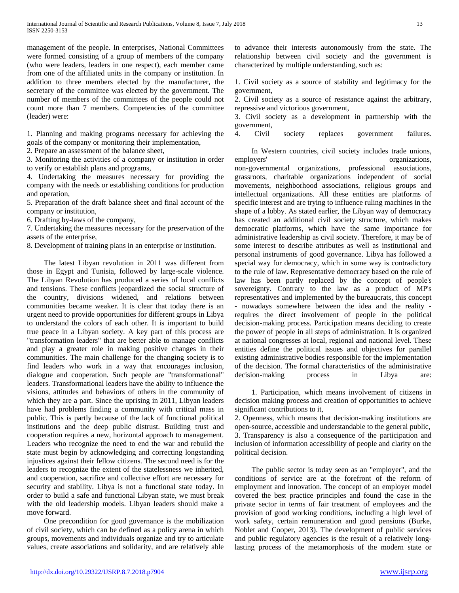management of the people. In enterprises, National Committees were formed consisting of a group of members of the company (who were leaders, leaders in one respect), each member came from one of the affiliated units in the company or institution. In addition to three members elected by the manufacturer, the secretary of the committee was elected by the government. The number of members of the committees of the people could not count more than 7 members. Competencies of the committee (leader) were:

1. Planning and making programs necessary for achieving the goals of the company or monitoring their implementation,

2. Prepare an assessment of the balance sheet,

3. Monitoring the activities of a company or institution in order to verify or establish plans and programs,

4. Undertaking the measures necessary for providing the company with the needs or establishing conditions for production and operation,

5. Preparation of the draft balance sheet and final account of the company or institution,

6. Drafting by-laws of the company,

7. Undertaking the measures necessary for the preservation of the assets of the enterprise,

8. Development of training plans in an enterprise or institution.

 The latest Libyan revolution in 2011 was different from those in Egypt and Tunisia, followed by large-scale violence. The Libyan Revolution has produced a series of local conflicts and tensions. These conflicts jeopardized the social structure of the country, divisions widened, and relations between communities became weaker. It is clear that today there is an urgent need to provide opportunities for different groups in Libya to understand the colors of each other. It is important to build true peace in a Libyan society. A key part of this process are "transformation leaders" that are better able to manage conflicts and play a greater role in making positive changes in their communities. The main challenge for the changing society is to find leaders who work in a way that encourages inclusion, dialogue and cooperation. Such people are "transformational" leaders. Transformational leaders have the ability to influence the visions, attitudes and behaviors of others in the community of which they are a part. Since the uprising in 2011, Libyan leaders have had problems finding a community with critical mass in public. This is partly because of the lack of functional political institutions and the deep public distrust. Building trust and cooperation requires a new, horizontal approach to management. Leaders who recognize the need to end the war and rebuild the state must begin by acknowledging and correcting longstanding injustices against their fellow citizens. The second need is for the leaders to recognize the extent of the statelessness we inherited, and cooperation, sacrifice and collective effort are necessary for security and stability. Libya is not a functional state today. In order to build a safe and functional Libyan state, we must break with the old leadership models. Libyan leaders should make a move forward.

 One precondition for good governance is the mobilization of civil society, which can be defined as a policy arena in which groups, movements and individuals organize and try to articulate values, create associations and solidarity, and are relatively able

to advance their interests autonomously from the state. The relationship between civil society and the government is characterized by multiple understanding, such as:

1. Civil society as a source of stability and legitimacy for the government,

2. Civil society as a source of resistance against the arbitrary, repressive and victorious government,

3. Civil society as a development in partnership with the government,

4. Civil society replaces government failures.

 In Western countries, civil society includes trade unions, employers' organizations, non-governmental organizations, professional associations, grassroots, charitable organizations independent of social movements, neighborhood associations, religious groups and intellectual organizations. All these entities are platforms of specific interest and are trying to influence ruling machines in the shape of a lobby. As stated earlier, the Libyan way of democracy has created an additional civil society structure, which makes democratic platforms, which have the same importance for administrative leadership as civil society. Therefore, it may be of some interest to describe attributes as well as institutional and personal instruments of good governance. Libya has followed a special way for democracy, which in some way is contradictory to the rule of law. Representative democracy based on the rule of law has been partly replaced by the concept of people's sovereignty. Contrary to the law as a product of MP's representatives and implemented by the bureaucrats, this concept - nowadays somewhere between the idea and the reality requires the direct involvement of people in the political decision-making process. Participation means deciding to create the power of people in all steps of administration. It is organized at national congresses at local, regional and national level. These entities define the political issues and objectives for parallel existing administrative bodies responsible for the implementation of the decision. The formal characteristics of the administrative decision-making process in Libya are:

 1. Participation, which means involvement of citizens in decision making process and creation of opportunities to achieve significant contributions to it,

2. Openness, which means that decision-making institutions are open-source, accessible and understandable to the general public, 3. Transparency is also a consequence of the participation and inclusion of information accessibility of people and clarity on the political decision.

 The public sector is today seen as an "employer", and the conditions of service are at the forefront of the reform of employment and innovation. The concept of an employer model covered the best practice principles and found the case in the private sector in terms of fair treatment of employees and the provision of good working conditions, including a high level of work safety, certain remuneration and good pensions (Burke, Noblet and Cooper, 2013). The development of public services and public regulatory agencies is the result of a relatively longlasting process of the metamorphosis of the modern state or